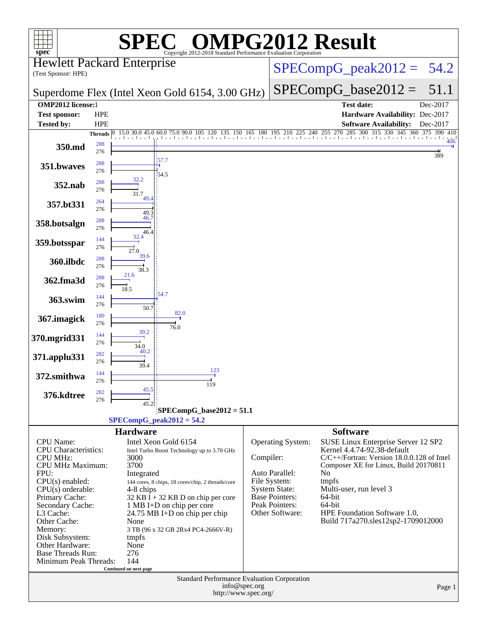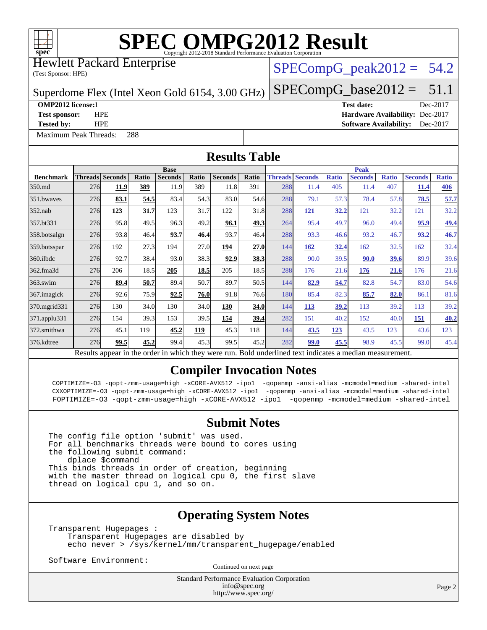

Hewlett Packard Enterprise

(Test Sponsor: HPE)

#### $SPECompG_peak2012 = 54.2$  $SPECompG_peak2012 = 54.2$

Superdome Flex (Intel Xeon Gold 6154, 3.00 GHz)

 $SPECompG_base2012 = 51.1$  $SPECompG_base2012 = 51.1$ 

[Maximum Peak Threads:](http://www.spec.org/auto/omp2012/Docs/result-fields.html#MaximumPeakThreads) 288

**[OMP2012 license:](http://www.spec.org/auto/omp2012/Docs/result-fields.html#OMP2012license)**1 **[Test date:](http://www.spec.org/auto/omp2012/Docs/result-fields.html#Testdate)** Dec-2017 **[Test sponsor:](http://www.spec.org/auto/omp2012/Docs/result-fields.html#Testsponsor)** HPE **[Hardware Availability:](http://www.spec.org/auto/omp2012/Docs/result-fields.html#HardwareAvailability)** Dec-2017 **[Tested by:](http://www.spec.org/auto/omp2012/Docs/result-fields.html#Testedby)** HPE **[Software Availability:](http://www.spec.org/auto/omp2012/Docs/result-fields.html#SoftwareAvailability)** Dec-2017

**[Results Table](http://www.spec.org/auto/omp2012/Docs/result-fields.html#ResultsTable) [Benchmark](http://www.spec.org/auto/omp2012/Docs/result-fields.html#Benchmark) [Threads](http://www.spec.org/auto/omp2012/Docs/result-fields.html#Threads) [Seconds](http://www.spec.org/auto/omp2012/Docs/result-fields.html#Seconds) [Ratio](http://www.spec.org/auto/omp2012/Docs/result-fields.html#Ratio) [Seconds](http://www.spec.org/auto/omp2012/Docs/result-fields.html#Seconds) [Ratio](http://www.spec.org/auto/omp2012/Docs/result-fields.html#Ratio) [Seconds](http://www.spec.org/auto/omp2012/Docs/result-fields.html#Seconds) [Ratio](http://www.spec.org/auto/omp2012/Docs/result-fields.html#Ratio) Base [Threads](http://www.spec.org/auto/omp2012/Docs/result-fields.html#Threads) [Seconds](http://www.spec.org/auto/omp2012/Docs/result-fields.html#Seconds) [Ratio](http://www.spec.org/auto/omp2012/Docs/result-fields.html#Ratio) [Seconds](http://www.spec.org/auto/omp2012/Docs/result-fields.html#Seconds) [Ratio](http://www.spec.org/auto/omp2012/Docs/result-fields.html#Ratio) [Seconds](http://www.spec.org/auto/omp2012/Docs/result-fields.html#Seconds) [Ratio](http://www.spec.org/auto/omp2012/Docs/result-fields.html#Ratio) Peak** [350.md](http://www.spec.org/auto/omp2012/Docs/350.md.html) 276 **[11.9](http://www.spec.org/auto/omp2012/Docs/result-fields.html#Median) [389](http://www.spec.org/auto/omp2012/Docs/result-fields.html#Median)** 11.9 389 11.8 391 288 11.4 405 11.4 407 **[11.4](http://www.spec.org/auto/omp2012/Docs/result-fields.html#Median) [406](http://www.spec.org/auto/omp2012/Docs/result-fields.html#Median)** [351.bwaves](http://www.spec.org/auto/omp2012/Docs/351.bwaves.html) 276 **[83.1](http://www.spec.org/auto/omp2012/Docs/result-fields.html#Median) [54.5](http://www.spec.org/auto/omp2012/Docs/result-fields.html#Median)** 83.4 54.3 83.0 54.6 288 79.1 57.3 78.4 57.8 **[78.5](http://www.spec.org/auto/omp2012/Docs/result-fields.html#Median) [57.7](http://www.spec.org/auto/omp2012/Docs/result-fields.html#Median)** [352.nab](http://www.spec.org/auto/omp2012/Docs/352.nab.html) 276 **[123](http://www.spec.org/auto/omp2012/Docs/result-fields.html#Median) [31.7](http://www.spec.org/auto/omp2012/Docs/result-fields.html#Median)** 123 31.7 122 31.8 288 **[121](http://www.spec.org/auto/omp2012/Docs/result-fields.html#Median) [32.2](http://www.spec.org/auto/omp2012/Docs/result-fields.html#Median)** 121 32.2 121 32.2 [357.bt331](http://www.spec.org/auto/omp2012/Docs/357.bt331.html) 276 95.8 49.5 96.3 49.2 **[96.1](http://www.spec.org/auto/omp2012/Docs/result-fields.html#Median) [49.3](http://www.spec.org/auto/omp2012/Docs/result-fields.html#Median)** 264 95.4 49.7 96.0 49.4 **[95.9](http://www.spec.org/auto/omp2012/Docs/result-fields.html#Median) [49.4](http://www.spec.org/auto/omp2012/Docs/result-fields.html#Median)** [358.botsalgn](http://www.spec.org/auto/omp2012/Docs/358.botsalgn.html) 276 93.8 46.4 **[93.7](http://www.spec.org/auto/omp2012/Docs/result-fields.html#Median) [46.4](http://www.spec.org/auto/omp2012/Docs/result-fields.html#Median)** 93.7 46.4 288 93.3 46.6 93.2 46.7 **[93.2](http://www.spec.org/auto/omp2012/Docs/result-fields.html#Median) [46.7](http://www.spec.org/auto/omp2012/Docs/result-fields.html#Median)** [359.botsspar](http://www.spec.org/auto/omp2012/Docs/359.botsspar.html) 276 192 27.3 194 27.0 **[194](http://www.spec.org/auto/omp2012/Docs/result-fields.html#Median) [27.0](http://www.spec.org/auto/omp2012/Docs/result-fields.html#Median)** 144 **[162](http://www.spec.org/auto/omp2012/Docs/result-fields.html#Median) [32.4](http://www.spec.org/auto/omp2012/Docs/result-fields.html#Median)** 162 32.5 162 32.4 [360.ilbdc](http://www.spec.org/auto/omp2012/Docs/360.ilbdc.html) 276 92.7 38.4 93.0 38.3 **[92.9](http://www.spec.org/auto/omp2012/Docs/result-fields.html#Median) [38.3](http://www.spec.org/auto/omp2012/Docs/result-fields.html#Median)** 288 90.0 39.5 **[90.0](http://www.spec.org/auto/omp2012/Docs/result-fields.html#Median) [39.6](http://www.spec.org/auto/omp2012/Docs/result-fields.html#Median)** 89.9 39.6 [362.fma3d](http://www.spec.org/auto/omp2012/Docs/362.fma3d.html) 276 206 18.5 **[205](http://www.spec.org/auto/omp2012/Docs/result-fields.html#Median) [18.5](http://www.spec.org/auto/omp2012/Docs/result-fields.html#Median)** 205 18.5 288 176 21.6 **[176](http://www.spec.org/auto/omp2012/Docs/result-fields.html#Median) [21.6](http://www.spec.org/auto/omp2012/Docs/result-fields.html#Median)** 176 21.6 [363.swim](http://www.spec.org/auto/omp2012/Docs/363.swim.html) 276 **[89.4](http://www.spec.org/auto/omp2012/Docs/result-fields.html#Median) [50.7](http://www.spec.org/auto/omp2012/Docs/result-fields.html#Median)** 89.4 50.7 89.7 50.5 144 **[82.9](http://www.spec.org/auto/omp2012/Docs/result-fields.html#Median) [54.7](http://www.spec.org/auto/omp2012/Docs/result-fields.html#Median)** 82.8 54.7 83.0 54.6 [367.imagick](http://www.spec.org/auto/omp2012/Docs/367.imagick.html) 276 92.6 75.9 **[92.5](http://www.spec.org/auto/omp2012/Docs/result-fields.html#Median) [76.0](http://www.spec.org/auto/omp2012/Docs/result-fields.html#Median)** 91.8 76.6 180 85.4 82.3 **[85.7](http://www.spec.org/auto/omp2012/Docs/result-fields.html#Median) [82.0](http://www.spec.org/auto/omp2012/Docs/result-fields.html#Median)** 86.1 81.6 [370.mgrid331](http://www.spec.org/auto/omp2012/Docs/370.mgrid331.html) 276 130 34.0 130 34.0 **[130](http://www.spec.org/auto/omp2012/Docs/result-fields.html#Median) [34.0](http://www.spec.org/auto/omp2012/Docs/result-fields.html#Median)** 144 **[113](http://www.spec.org/auto/omp2012/Docs/result-fields.html#Median) [39.2](http://www.spec.org/auto/omp2012/Docs/result-fields.html#Median)** 113 39.2 113 39.2 [371.applu331](http://www.spec.org/auto/omp2012/Docs/371.applu331.html) 276 154 39.3 153 39.5 **[154](http://www.spec.org/auto/omp2012/Docs/result-fields.html#Median) [39.4](http://www.spec.org/auto/omp2012/Docs/result-fields.html#Median)** 282 151 40.2 152 40.0 **[151](http://www.spec.org/auto/omp2012/Docs/result-fields.html#Median) [40.2](http://www.spec.org/auto/omp2012/Docs/result-fields.html#Median)** [372.smithwa](http://www.spec.org/auto/omp2012/Docs/372.smithwa.html) 276 45.1 119 **[45.2](http://www.spec.org/auto/omp2012/Docs/result-fields.html#Median) [119](http://www.spec.org/auto/omp2012/Docs/result-fields.html#Median)** 45.3 118 144 **[43.5](http://www.spec.org/auto/omp2012/Docs/result-fields.html#Median) [123](http://www.spec.org/auto/omp2012/Docs/result-fields.html#Median)** 43.5 123 43.6 123 [376.kdtree](http://www.spec.org/auto/omp2012/Docs/376.kdtree.html) 276 **[99.5](http://www.spec.org/auto/omp2012/Docs/result-fields.html#Median) [45.2](http://www.spec.org/auto/omp2012/Docs/result-fields.html#Median)** 99.4 45.3 99.5 45.2 282 **[99.0](http://www.spec.org/auto/omp2012/Docs/result-fields.html#Median) [45.5](http://www.spec.org/auto/omp2012/Docs/result-fields.html#Median)** 98.9 45.5 99.0 45.4 Results appear in the [order in which they were run.](http://www.spec.org/auto/omp2012/Docs/result-fields.html#RunOrder) Bold underlined text [indicates a median measurement.](http://www.spec.org/auto/omp2012/Docs/result-fields.html#Median)

#### **[Compiler Invocation Notes](http://www.spec.org/auto/omp2012/Docs/result-fields.html#CompilerInvocationNotes)**

 COPTIMIZE=-O3 -qopt-zmm-usage=high -xCORE-AVX512 -ipo1 -qopenmp -ansi-alias -mcmodel=medium -shared-intel CXXOPTIMIZE=-O3 -qopt-zmm-usage=high -xCORE-AVX512 -ipo1 -qopenmp -ansi-alias -mcmodel=medium -shared-intel FOPTIMIZE=-O3 -qopt-zmm-usage=high -xCORE-AVX512 -ipo1 -qopenmp -mcmodel=medium -shared-intel

#### **[Submit Notes](http://www.spec.org/auto/omp2012/Docs/result-fields.html#SubmitNotes)**

The config file option 'submit' was used. For all benchmarks threads were bound to cores using the following submit command: dplace \$command This binds threads in order of creation, beginning with the master thread on logical cpu 0, the first slave thread on logical cpu 1, and so on.

#### **[Operating System Notes](http://www.spec.org/auto/omp2012/Docs/result-fields.html#OperatingSystemNotes)**

Transparent Hugepages : Transparent Hugepages are disabled by echo never > /sys/kernel/mm/transparent\_hugepage/enabled

Software Environment:

Continued on next page

Standard Performance Evaluation Corporation [info@spec.org](mailto:info@spec.org) <http://www.spec.org/>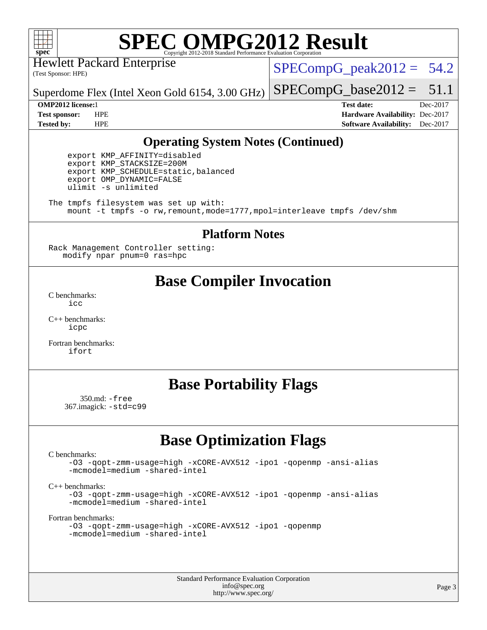

Hewlett Packard Enterprise

(Test Sponsor: HPE)

 $SPECompG_peak2012 = 54.2$  $SPECompG_peak2012 = 54.2$ 

Superdome Flex (Intel Xeon Gold 6154, 3.00 GHz)

**[Tested by:](http://www.spec.org/auto/omp2012/Docs/result-fields.html#Testedby)** HPE **[Software Availability:](http://www.spec.org/auto/omp2012/Docs/result-fields.html#SoftwareAvailability)** Dec-2017

 $SPECompG_base2012 = 51.1$  $SPECompG_base2012 = 51.1$ **[OMP2012 license:](http://www.spec.org/auto/omp2012/Docs/result-fields.html#OMP2012license)**1 **[Test date:](http://www.spec.org/auto/omp2012/Docs/result-fields.html#Testdate)** Dec-2017 **[Test sponsor:](http://www.spec.org/auto/omp2012/Docs/result-fields.html#Testsponsor)** HPE **[Hardware Availability:](http://www.spec.org/auto/omp2012/Docs/result-fields.html#HardwareAvailability)** Dec-2017

#### **[Operating System Notes \(Continued\)](http://www.spec.org/auto/omp2012/Docs/result-fields.html#OperatingSystemNotes)**

 export KMP\_AFFINITY=disabled export KMP\_STACKSIZE=200M export KMP\_SCHEDULE=static,balanced export OMP\_DYNAMIC=FALSE ulimit -s unlimited

The tmpfs filesystem was set up with: mount -t tmpfs -o rw,remount,mode=1777,mpol=interleave tmpfs /dev/shm

#### **[Platform Notes](http://www.spec.org/auto/omp2012/Docs/result-fields.html#PlatformNotes)**

Rack Management Controller setting: modify npar pnum=0 ras=hpc

### **[Base Compiler Invocation](http://www.spec.org/auto/omp2012/Docs/result-fields.html#BaseCompilerInvocation)**

[C benchmarks](http://www.spec.org/auto/omp2012/Docs/result-fields.html#Cbenchmarks): [icc](http://www.spec.org/omp2012/results/res2018q1/omp2012-20171219-00136.flags.html#user_CCbase_intel_icc_a87c68a857bc5ec5362391a49d3a37a6)

[C++ benchmarks:](http://www.spec.org/auto/omp2012/Docs/result-fields.html#CXXbenchmarks) [icpc](http://www.spec.org/omp2012/results/res2018q1/omp2012-20171219-00136.flags.html#user_CXXbase_intel_icpc_2d899f8d163502b12eb4a60069f80c1c)

[Fortran benchmarks](http://www.spec.org/auto/omp2012/Docs/result-fields.html#Fortranbenchmarks): [ifort](http://www.spec.org/omp2012/results/res2018q1/omp2012-20171219-00136.flags.html#user_FCbase_intel_ifort_8a5e5e06b19a251bdeaf8fdab5d62f20)

### **[Base Portability Flags](http://www.spec.org/auto/omp2012/Docs/result-fields.html#BasePortabilityFlags)**

 350.md: [-free](http://www.spec.org/omp2012/results/res2018q1/omp2012-20171219-00136.flags.html#user_baseFPORTABILITY350_md_free) 367.imagick: [-std=c99](http://www.spec.org/omp2012/results/res2018q1/omp2012-20171219-00136.flags.html#user_baseCPORTABILITY367_imagick_std_2ec6533b6e06f1c4a6c9b78d9e9cde24)

# **[Base Optimization Flags](http://www.spec.org/auto/omp2012/Docs/result-fields.html#BaseOptimizationFlags)**

[C benchmarks](http://www.spec.org/auto/omp2012/Docs/result-fields.html#Cbenchmarks):

[-O3](http://www.spec.org/omp2012/results/res2018q1/omp2012-20171219-00136.flags.html#user_CCbase_f-O3) [-qopt-zmm-usage=high](http://www.spec.org/omp2012/results/res2018q1/omp2012-20171219-00136.flags.html#user_CCbase_f-qopt-zmm-usage_213d857421e75f2db2f896f7900465fb) [-xCORE-AVX512](http://www.spec.org/omp2012/results/res2018q1/omp2012-20171219-00136.flags.html#user_CCbase_f-xCORE-AVX512) [-ipo1](http://www.spec.org/omp2012/results/res2018q1/omp2012-20171219-00136.flags.html#user_CCbase_f-ipo_116921c2575d566c213f1dd5e08493d2) [-qopenmp](http://www.spec.org/omp2012/results/res2018q1/omp2012-20171219-00136.flags.html#user_CCbase_f-qopenmp) [-ansi-alias](http://www.spec.org/omp2012/results/res2018q1/omp2012-20171219-00136.flags.html#user_CCbase_f-ansi-alias) [-mcmodel=medium](http://www.spec.org/omp2012/results/res2018q1/omp2012-20171219-00136.flags.html#user_CCbase_f-mcmodel_3a41622424bdd074c4f0f2d2f224c7e5) [-shared-intel](http://www.spec.org/omp2012/results/res2018q1/omp2012-20171219-00136.flags.html#user_CCbase_f-shared-intel)

[C++ benchmarks:](http://www.spec.org/auto/omp2012/Docs/result-fields.html#CXXbenchmarks)

[-O3](http://www.spec.org/omp2012/results/res2018q1/omp2012-20171219-00136.flags.html#user_CXXbase_f-O3) [-qopt-zmm-usage=high](http://www.spec.org/omp2012/results/res2018q1/omp2012-20171219-00136.flags.html#user_CXXbase_f-qopt-zmm-usage_213d857421e75f2db2f896f7900465fb) [-xCORE-AVX512](http://www.spec.org/omp2012/results/res2018q1/omp2012-20171219-00136.flags.html#user_CXXbase_f-xCORE-AVX512) [-ipo1](http://www.spec.org/omp2012/results/res2018q1/omp2012-20171219-00136.flags.html#user_CXXbase_f-ipo_116921c2575d566c213f1dd5e08493d2) [-qopenmp](http://www.spec.org/omp2012/results/res2018q1/omp2012-20171219-00136.flags.html#user_CXXbase_f-qopenmp) [-ansi-alias](http://www.spec.org/omp2012/results/res2018q1/omp2012-20171219-00136.flags.html#user_CXXbase_f-ansi-alias) [-mcmodel=medium](http://www.spec.org/omp2012/results/res2018q1/omp2012-20171219-00136.flags.html#user_CXXbase_f-mcmodel_3a41622424bdd074c4f0f2d2f224c7e5) [-shared-intel](http://www.spec.org/omp2012/results/res2018q1/omp2012-20171219-00136.flags.html#user_CXXbase_f-shared-intel)

[Fortran benchmarks](http://www.spec.org/auto/omp2012/Docs/result-fields.html#Fortranbenchmarks):

```
-O3 -qopt-zmm-usage=high -xCORE-AVX512 -ipo1 -qopenmp
-mcmodel=medium -shared-intel
```
Standard Performance Evaluation Corporation [info@spec.org](mailto:info@spec.org) <http://www.spec.org/>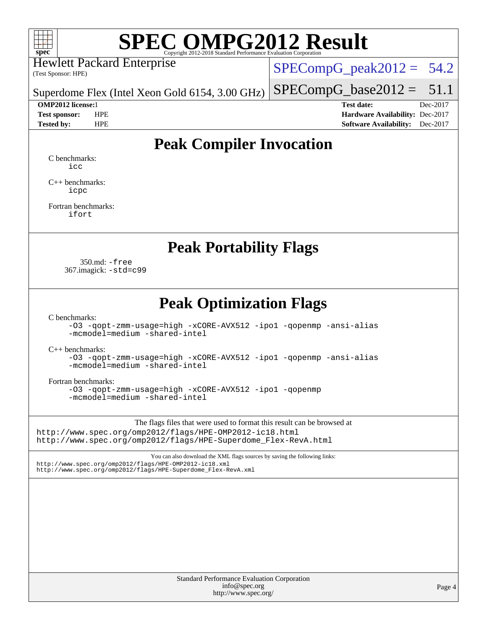

Hewlett Packard Enterprise

(Test Sponsor: HPE)

 $SPECompG_peak2012 = 54.2$  $SPECompG_peak2012 = 54.2$ 

Superdome Flex (Intel Xeon Gold 6154, 3.00 GHz)

 $SPECompG_base2012 = 51.1$  $SPECompG_base2012 = 51.1$ 

**[OMP2012 license:](http://www.spec.org/auto/omp2012/Docs/result-fields.html#OMP2012license)**1 **[Test date:](http://www.spec.org/auto/omp2012/Docs/result-fields.html#Testdate)** Dec-2017 **[Test sponsor:](http://www.spec.org/auto/omp2012/Docs/result-fields.html#Testsponsor)** HPE **[Hardware Availability:](http://www.spec.org/auto/omp2012/Docs/result-fields.html#HardwareAvailability)** Dec-2017 **[Tested by:](http://www.spec.org/auto/omp2012/Docs/result-fields.html#Testedby)** HPE **[Software Availability:](http://www.spec.org/auto/omp2012/Docs/result-fields.html#SoftwareAvailability)** Dec-2017

# **[Peak Compiler Invocation](http://www.spec.org/auto/omp2012/Docs/result-fields.html#PeakCompilerInvocation)**

[C benchmarks](http://www.spec.org/auto/omp2012/Docs/result-fields.html#Cbenchmarks): [icc](http://www.spec.org/omp2012/results/res2018q1/omp2012-20171219-00136.flags.html#user_CCpeak_intel_icc_a87c68a857bc5ec5362391a49d3a37a6)

[C++ benchmarks:](http://www.spec.org/auto/omp2012/Docs/result-fields.html#CXXbenchmarks) [icpc](http://www.spec.org/omp2012/results/res2018q1/omp2012-20171219-00136.flags.html#user_CXXpeak_intel_icpc_2d899f8d163502b12eb4a60069f80c1c)

[Fortran benchmarks](http://www.spec.org/auto/omp2012/Docs/result-fields.html#Fortranbenchmarks): [ifort](http://www.spec.org/omp2012/results/res2018q1/omp2012-20171219-00136.flags.html#user_FCpeak_intel_ifort_8a5e5e06b19a251bdeaf8fdab5d62f20)

### **[Peak Portability Flags](http://www.spec.org/auto/omp2012/Docs/result-fields.html#PeakPortabilityFlags)**

 350.md: [-free](http://www.spec.org/omp2012/results/res2018q1/omp2012-20171219-00136.flags.html#user_peakFPORTABILITY350_md_free) 367.imagick: [-std=c99](http://www.spec.org/omp2012/results/res2018q1/omp2012-20171219-00136.flags.html#user_peakCPORTABILITY367_imagick_std_2ec6533b6e06f1c4a6c9b78d9e9cde24)

### **[Peak Optimization Flags](http://www.spec.org/auto/omp2012/Docs/result-fields.html#PeakOptimizationFlags)**

[C benchmarks](http://www.spec.org/auto/omp2012/Docs/result-fields.html#Cbenchmarks):

[-O3](http://www.spec.org/omp2012/results/res2018q1/omp2012-20171219-00136.flags.html#user_CCpeak_f-O3) [-qopt-zmm-usage=high](http://www.spec.org/omp2012/results/res2018q1/omp2012-20171219-00136.flags.html#user_CCpeak_f-qopt-zmm-usage_213d857421e75f2db2f896f7900465fb) [-xCORE-AVX512](http://www.spec.org/omp2012/results/res2018q1/omp2012-20171219-00136.flags.html#user_CCpeak_f-xCORE-AVX512) [-ipo1](http://www.spec.org/omp2012/results/res2018q1/omp2012-20171219-00136.flags.html#user_CCpeak_f-ipo_116921c2575d566c213f1dd5e08493d2) [-qopenmp](http://www.spec.org/omp2012/results/res2018q1/omp2012-20171219-00136.flags.html#user_CCpeak_f-qopenmp) [-ansi-alias](http://www.spec.org/omp2012/results/res2018q1/omp2012-20171219-00136.flags.html#user_CCpeak_f-ansi-alias) [-mcmodel=medium](http://www.spec.org/omp2012/results/res2018q1/omp2012-20171219-00136.flags.html#user_CCpeak_f-mcmodel_3a41622424bdd074c4f0f2d2f224c7e5) [-shared-intel](http://www.spec.org/omp2012/results/res2018q1/omp2012-20171219-00136.flags.html#user_CCpeak_f-shared-intel)

[C++ benchmarks:](http://www.spec.org/auto/omp2012/Docs/result-fields.html#CXXbenchmarks)

[-O3](http://www.spec.org/omp2012/results/res2018q1/omp2012-20171219-00136.flags.html#user_CXXpeak_f-O3) [-qopt-zmm-usage=high](http://www.spec.org/omp2012/results/res2018q1/omp2012-20171219-00136.flags.html#user_CXXpeak_f-qopt-zmm-usage_213d857421e75f2db2f896f7900465fb) [-xCORE-AVX512](http://www.spec.org/omp2012/results/res2018q1/omp2012-20171219-00136.flags.html#user_CXXpeak_f-xCORE-AVX512) [-ipo1](http://www.spec.org/omp2012/results/res2018q1/omp2012-20171219-00136.flags.html#user_CXXpeak_f-ipo_116921c2575d566c213f1dd5e08493d2) [-qopenmp](http://www.spec.org/omp2012/results/res2018q1/omp2012-20171219-00136.flags.html#user_CXXpeak_f-qopenmp) [-ansi-alias](http://www.spec.org/omp2012/results/res2018q1/omp2012-20171219-00136.flags.html#user_CXXpeak_f-ansi-alias) [-mcmodel=medium](http://www.spec.org/omp2012/results/res2018q1/omp2012-20171219-00136.flags.html#user_CXXpeak_f-mcmodel_3a41622424bdd074c4f0f2d2f224c7e5) [-shared-intel](http://www.spec.org/omp2012/results/res2018q1/omp2012-20171219-00136.flags.html#user_CXXpeak_f-shared-intel)

[Fortran benchmarks](http://www.spec.org/auto/omp2012/Docs/result-fields.html#Fortranbenchmarks):

[-O3](http://www.spec.org/omp2012/results/res2018q1/omp2012-20171219-00136.flags.html#user_FCpeak_f-O3) [-qopt-zmm-usage=high](http://www.spec.org/omp2012/results/res2018q1/omp2012-20171219-00136.flags.html#user_FCpeak_f-qopt-zmm-usage_213d857421e75f2db2f896f7900465fb) [-xCORE-AVX512](http://www.spec.org/omp2012/results/res2018q1/omp2012-20171219-00136.flags.html#user_FCpeak_f-xCORE-AVX512) [-ipo1](http://www.spec.org/omp2012/results/res2018q1/omp2012-20171219-00136.flags.html#user_FCpeak_f-ipo_116921c2575d566c213f1dd5e08493d2) [-qopenmp](http://www.spec.org/omp2012/results/res2018q1/omp2012-20171219-00136.flags.html#user_FCpeak_f-qopenmp) [-mcmodel=medium](http://www.spec.org/omp2012/results/res2018q1/omp2012-20171219-00136.flags.html#user_FCpeak_f-mcmodel_3a41622424bdd074c4f0f2d2f224c7e5) [-shared-intel](http://www.spec.org/omp2012/results/res2018q1/omp2012-20171219-00136.flags.html#user_FCpeak_f-shared-intel)

The flags files that were used to format this result can be browsed at <http://www.spec.org/omp2012/flags/HPE-OMP2012-ic18.html>

[http://www.spec.org/omp2012/flags/HPE-Superdome\\_Flex-RevA.html](http://www.spec.org/omp2012/flags/HPE-Superdome_Flex-RevA.html)

You can also download the XML flags sources by saving the following links: <http://www.spec.org/omp2012/flags/HPE-OMP2012-ic18.xml> [http://www.spec.org/omp2012/flags/HPE-Superdome\\_Flex-RevA.xml](http://www.spec.org/omp2012/flags/HPE-Superdome_Flex-RevA.xml)